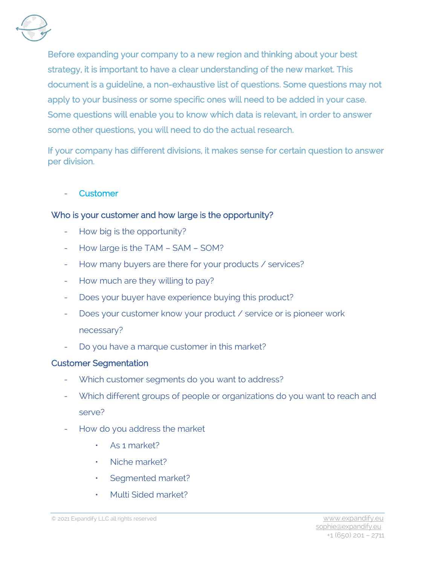

Before expanding your company to a new region and thinking about your best strategy, it is important to have a clear understanding of the new market. This document is a guideline, a non-exhaustive list of questions. Some questions may not apply to your business or some specific ones will need to be added in your case. Some questions will enable you to know which data is relevant, in order to answer some other questions, you will need to do the actual research.

If your company has different divisions, it makes sense for certain question to answer per division.

#### **Customer**

## Who is your customer and how large is the opportunity?

- How big is the opportunity?
- How large is the TAM SAM SOM?
- How many buyers are there for your products / services?
- How much are they willing to pay?
- Does your buyer have experience buying this product?
- Does your customer know your product / service or is pioneer work necessary?
- Do you have a marque customer in this market?

## Customer Segmentation

- Which customer segments do you want to address?
- Which different groups of people or organizations do you want to reach and serve?
- How do you address the market
	- As 1 market?
	- Niche market?
	- Segmented market?
	- Multi Sided market?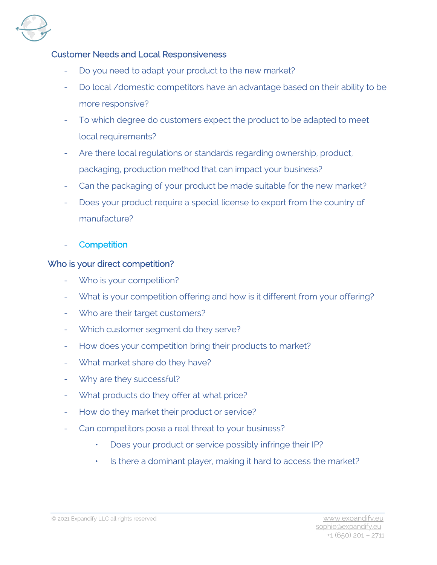

## Customer Needs and Local Responsiveness

- Do you need to adapt your product to the new market?
- Do local /domestic competitors have an advantage based on their ability to be more responsive?
- To which degree do customers expect the product to be adapted to meet local requirements?
- Are there local regulations or standards regarding ownership, product, packaging, production method that can impact your business?
- Can the packaging of your product be made suitable for the new market?
- Does your product require a special license to export from the country of manufacture?
- **Competition**

## Who is your direct competition?

- Who is your competition?
- What is your competition offering and how is it different from your offering?
- Who are their target customers?
- Which customer segment do they serve?
- How does your competition bring their products to market?
- What market share do they have?
- Why are they successful?
- What products do they offer at what price?
- How do they market their product or service?
- Can competitors pose a real threat to your business?
	- Does your product or service possibly infringe their IP?
	- Is there a dominant player, making it hard to access the market?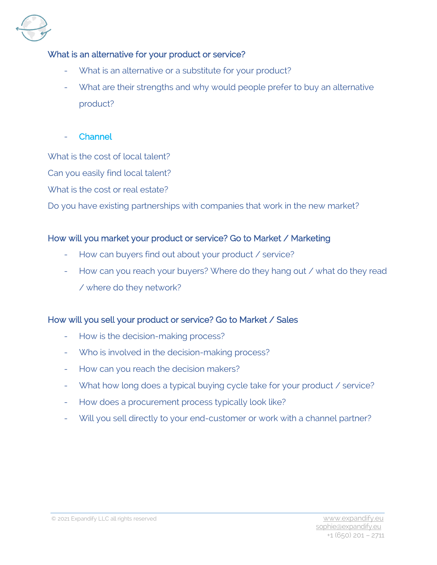

## What is an alternative for your product or service?

- What is an alternative or a substitute for your product?
- What are their strengths and why would people prefer to buy an alternative product?
- **Channel**

What is the cost of local talent?

Can you easily find local talent?

What is the cost or real estate?

Do you have existing partnerships with companies that work in the new market?

## How will you market your product or service? Go to Market / Marketing

- How can buyers find out about your product / service?
- How can you reach your buyers? Where do they hang out / what do they read / where do they network?

# How will you sell your product or service? Go to Market / Sales

- How is the decision-making process?
- Who is involved in the decision-making process?
- How can you reach the decision makers?
- What how long does a typical buying cycle take for your product / service?
- How does a procurement process typically look like?
- Will you sell directly to your end-customer or work with a channel partner?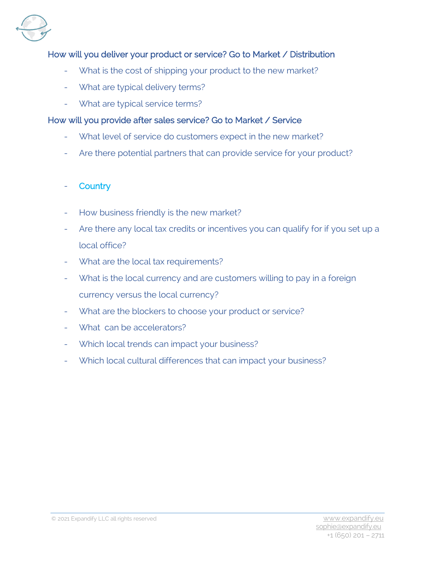

# How will you deliver your product or service? Go to Market / Distribution

- What is the cost of shipping your product to the new market?
- What are typical delivery terms?
- What are typical service terms?

#### How will you provide after sales service? Go to Market / Service

- What level of service do customers expect in the new market?
- Are there potential partners that can provide service for your product?

## **Country**

- How business friendly is the new market?
- Are there any local tax credits or incentives you can qualify for if you set up a local office?
- What are the local tax requirements?
- What is the local currency and are customers willing to pay in a foreign currency versus the local currency?
- What are the blockers to choose your product or service?
- What can be accelerators?
- Which local trends can impact your business?
- Which local cultural differences that can impact your business?